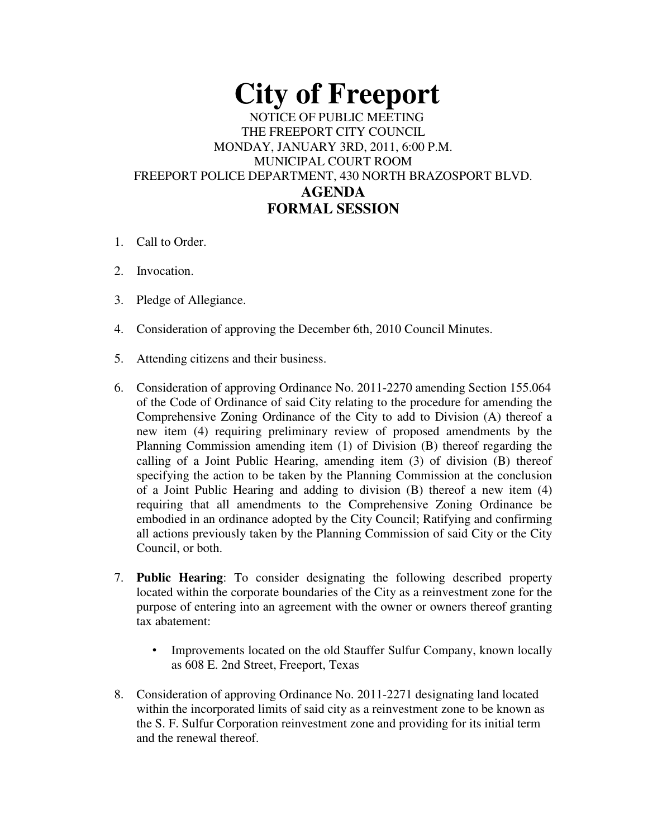## **City of Freeport**  NOTICE OF PUBLIC MEETING THE FREEPORT CITY COUNCIL MONDAY, JANUARY 3RD, 2011, 6:00 P.M. MUNICIPAL COURT ROOM FREEPORT POLICE DEPARTMENT, 430 NORTH BRAZOSPORT BLVD. **AGENDA FORMAL SESSION**

- 1. Call to Order.
- 2. Invocation.
- 3. Pledge of Allegiance.
- 4. Consideration of approving the December 6th, 2010 Council Minutes.
- 5. Attending citizens and their business.
- 6. Consideration of approving Ordinance No. 2011-2270 amending Section 155.064 of the Code of Ordinance of said City relating to the procedure for amending the Comprehensive Zoning Ordinance of the City to add to Division (A) thereof a new item (4) requiring preliminary review of proposed amendments by the Planning Commission amending item (1) of Division (B) thereof regarding the calling of a Joint Public Hearing, amending item (3) of division (B) thereof specifying the action to be taken by the Planning Commission at the conclusion of a Joint Public Hearing and adding to division (B) thereof a new item (4) requiring that all amendments to the Comprehensive Zoning Ordinance be embodied in an ordinance adopted by the City Council; Ratifying and confirming all actions previously taken by the Planning Commission of said City or the City Council, or both.
- 7. **Public Hearing**: To consider designating the following described property located within the corporate boundaries of the City as a reinvestment zone for the purpose of entering into an agreement with the owner or owners thereof granting tax abatement:
	- Improvements located on the old Stauffer Sulfur Company, known locally as 608 E. 2nd Street, Freeport, Texas
- 8. Consideration of approving Ordinance No. 2011-2271 designating land located within the incorporated limits of said city as a reinvestment zone to be known as the S. F. Sulfur Corporation reinvestment zone and providing for its initial term and the renewal thereof.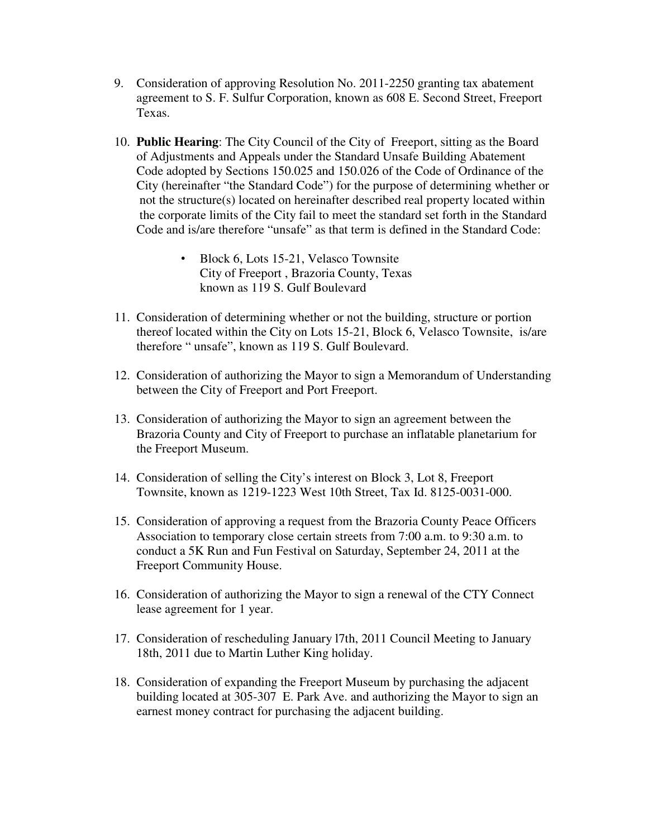- 9. Consideration of approving Resolution No. 2011-2250 granting tax abatement agreement to S. F. Sulfur Corporation, known as 608 E. Second Street, Freeport Texas.
- 10. **Public Hearing**: The City Council of the City of Freeport, sitting as the Board of Adjustments and Appeals under the Standard Unsafe Building Abatement Code adopted by Sections 150.025 and 150.026 of the Code of Ordinance of the City (hereinafter "the Standard Code") for the purpose of determining whether or not the structure(s) located on hereinafter described real property located within the corporate limits of the City fail to meet the standard set forth in the Standard Code and is/are therefore "unsafe" as that term is defined in the Standard Code:
	- Block 6, Lots 15-21, Velasco Townsite City of Freeport , Brazoria County, Texas known as 119 S. Gulf Boulevard
- 11. Consideration of determining whether or not the building, structure or portion thereof located within the City on Lots 15-21, Block 6, Velasco Townsite, is/are therefore " unsafe", known as 119 S. Gulf Boulevard.
- 12. Consideration of authorizing the Mayor to sign a Memorandum of Understanding between the City of Freeport and Port Freeport.
- 13. Consideration of authorizing the Mayor to sign an agreement between the Brazoria County and City of Freeport to purchase an inflatable planetarium for the Freeport Museum.
- 14. Consideration of selling the City's interest on Block 3, Lot 8, Freeport Townsite, known as 1219-1223 West 10th Street, Tax Id. 8125-0031-000.
- 15. Consideration of approving a request from the Brazoria County Peace Officers Association to temporary close certain streets from 7:00 a.m. to 9:30 a.m. to conduct a 5K Run and Fun Festival on Saturday, September 24, 2011 at the Freeport Community House.
- 16. Consideration of authorizing the Mayor to sign a renewal of the CTY Connect lease agreement for 1 year.
- 17. Consideration of rescheduling January l7th, 2011 Council Meeting to January 18th, 2011 due to Martin Luther King holiday.
- 18. Consideration of expanding the Freeport Museum by purchasing the adjacent building located at 305-307 E. Park Ave. and authorizing the Mayor to sign an earnest money contract for purchasing the adjacent building.